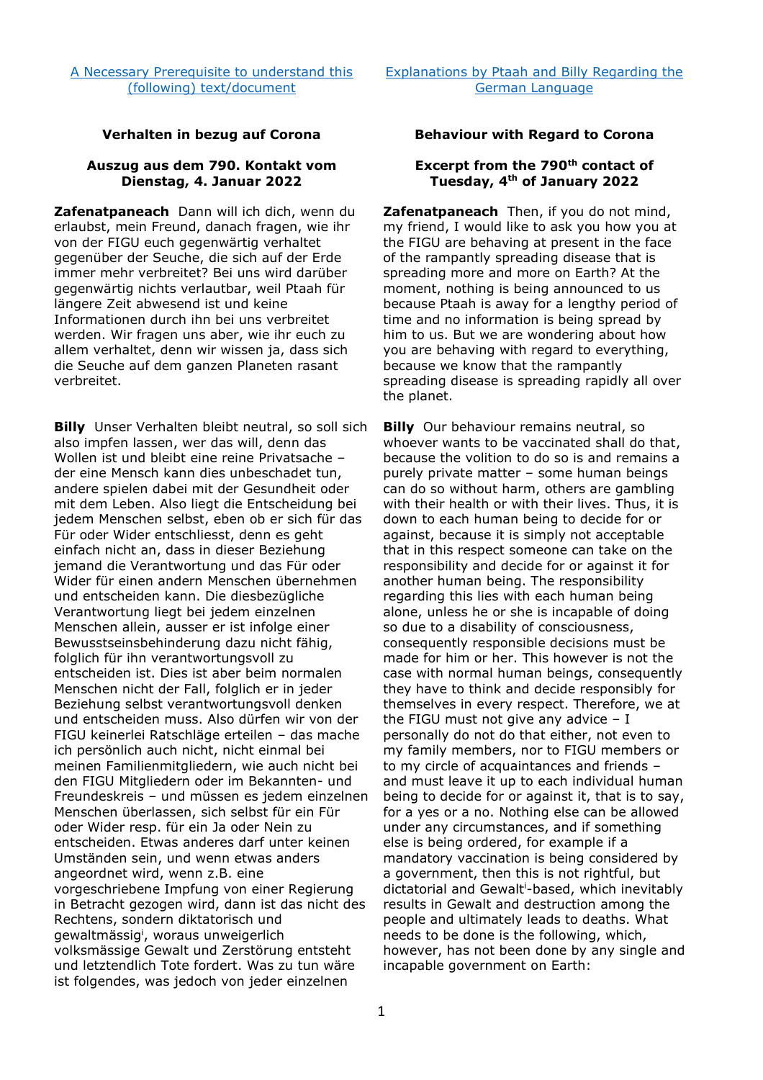## **Verhalten in bezug auf Corona Behaviour with Regard to Corona**

## **Auszug aus dem 790. Kontakt vom Dienstag, 4. Januar 2022**

**Zafenatpaneach** Dann will ich dich, wenn du erlaubst, mein Freund, danach fragen, wie ihr von der FIGU euch gegenwärtig verhaltet gegenüber der Seuche, die sich auf der Erde immer mehr verbreitet? Bei uns wird darüber gegenwärtig nichts verlautbar, weil Ptaah für längere Zeit abwesend ist und keine Informationen durch ihn bei uns verbreitet werden. Wir fragen uns aber, wie ihr euch zu allem verhaltet, denn wir wissen ja, dass sich die Seuche auf dem ganzen Planeten rasant verbreitet.

**Billy** Unser Verhalten bleibt neutral, so soll sich also impfen lassen, wer das will, denn das Wollen ist und bleibt eine reine Privatsache – der eine Mensch kann dies unbeschadet tun, andere spielen dabei mit der Gesundheit oder mit dem Leben. Also liegt die Entscheidung bei jedem Menschen selbst, eben ob er sich für das Für oder Wider entschliesst, denn es geht einfach nicht an, dass in dieser Beziehung jemand die Verantwortung und das Für oder Wider für einen andern Menschen übernehmen und entscheiden kann. Die diesbezügliche Verantwortung liegt bei jedem einzelnen Menschen allein, ausser er ist infolge einer Bewusstseinsbehinderung dazu nicht fähig, folglich für ihn verantwortungsvoll zu entscheiden ist. Dies ist aber beim normalen Menschen nicht der Fall, folglich er in jeder Beziehung selbst verantwortungsvoll denken und entscheiden muss. Also dürfen wir von der FIGU keinerlei Ratschläge erteilen – das mache ich persönlich auch nicht, nicht einmal bei meinen Familienmitgliedern, wie auch nicht bei den FIGU Mitgliedern oder im Bekannten- und Freundeskreis – und müssen es jedem einzelnen Menschen überlassen, sich selbst für ein Für oder Wider resp. für ein Ja oder Nein zu entscheiden. Etwas anderes darf unter keinen Umständen sein, und wenn etwas anders angeordnet wird, wenn z.B. eine vorgeschriebene Impfung von einer Regierung in Betracht gezogen wird, dann ist das nicht des Rechtens, sondern diktatorisch und gewaltmässig<sup>i</sup>, woraus unweigerlich volksmässige Gewalt und Zerstörung entsteht und letztendlich Tote fordert. Was zu tun wäre ist folgendes, was jedoch von jeder einzelnen

## **Excerpt from the 790th contact of Tuesday, 4th of January 2022**

**Zafenatpaneach** Then, if you do not mind, my friend, I would like to ask you how you at the FIGU are behaving at present in the face of the rampantly spreading disease that is spreading more and more on Earth? At the moment, nothing is being announced to us because Ptaah is away for a lengthy period of time and no information is being spread by him to us. But we are wondering about how you are behaving with regard to everything, because we know that the rampantly spreading disease is spreading rapidly all over the planet.

**Billy** Our behaviour remains neutral, so whoever wants to be vaccinated shall do that, because the volition to do so is and remains a purely private matter – some human beings can do so without harm, others are gambling with their health or with their lives. Thus, it is down to each human being to decide for or against, because it is simply not acceptable that in this respect someone can take on the responsibility and decide for or against it for another human being. The responsibility regarding this lies with each human being alone, unless he or she is incapable of doing so due to a disability of consciousness, consequently responsible decisions must be made for him or her. This however is not the case with normal human beings, consequently they have to think and decide responsibly for themselves in every respect. Therefore, we at the FIGU must not give any advice  $- I$ personally do not do that either, not even to my family members, nor to FIGU members or to my circle of acquaintances and friends – and must leave it up to each individual human being to decide for or against it, that is to say, for a yes or a no. Nothing else can be allowed under any circumstances, and if something else is being ordered, for example if a mandatory vaccination is being considered by a government, then this is not rightful, but dictatorial and Gewalt<sup>i</sup> -based, which inevitably results in Gewalt and destruction among the people and ultimately leads to deaths. What needs to be done is the following, which, however, has not been done by any single and incapable government on Earth: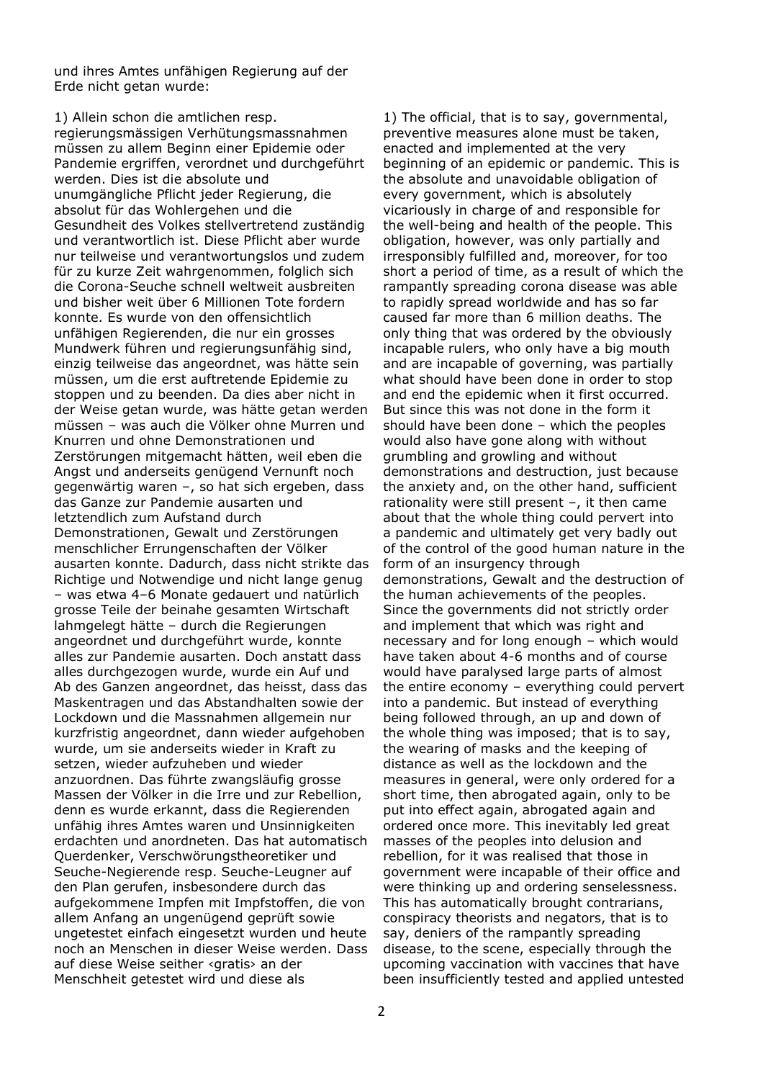und ihres Amtes unfähigen Regierung auf der Erde nicht getan wurde:

1) Allein schon die amtlichen resp.

regierungsmässigen Verhütungsmassnahmen müssen zu allem Beginn einer Epidemie oder Pandemie ergriffen, verordnet und durchgeführt werden. Dies ist die absolute und unumgängliche Pflicht jeder Regierung, die absolut für das Wohlergehen und die Gesundheit des Volkes stellvertretend zuständig und verantwortlich ist. Diese Pflicht aber wurde nur teilweise und verantwortungslos und zudem für zu kurze Zeit wahrgenommen, folglich sich die Corona-Seuche schnell weltweit ausbreiten und bisher weit über 6 Millionen Tote fordern konnte. Es wurde von den offensichtlich unfähigen Regierenden, die nur ein grosses Mundwerk führen und regierungsunfähig sind, einzig teilweise das angeordnet, was hätte sein müssen, um die erst auftretende Epidemie zu stoppen und zu beenden. Da dies aber nicht in der Weise getan wurde, was hätte getan werden müssen – was auch die Völker ohne Murren und Knurren und ohne Demonstrationen und Zerstörungen mitgemacht hätten, weil eben die Angst und anderseits genügend Vernunft noch gegenwärtig waren –, so hat sich ergeben, dass das Ganze zur Pandemie ausarten und letztendlich zum Aufstand durch Demonstrationen, Gewalt und Zerstörungen menschlicher Errungenschaften der Völker ausarten konnte. Dadurch, dass nicht strikte das Richtige und Notwendige und nicht lange genug – was etwa 4–6 Monate gedauert und natürlich grosse Teile der beinahe gesamten Wirtschaft lahmgelegt hätte – durch die Regierungen angeordnet und durchgeführt wurde, konnte alles zur Pandemie ausarten. Doch anstatt dass alles durchgezogen wurde, wurde ein Auf und Ab des Ganzen angeordnet, das heisst, dass das Maskentragen und das Abstandhalten sowie der Lockdown und die Massnahmen allgemein nur kurzfristig angeordnet, dann wieder aufgehoben wurde, um sie anderseits wieder in Kraft zu setzen, wieder aufzuheben und wieder anzuordnen. Das führte zwangsläufig grosse Massen der Völker in die Irre und zur Rebellion, denn es wurde erkannt, dass die Regierenden unfähig ihres Amtes waren und Unsinnigkeiten erdachten und anordneten. Das hat automatisch Querdenker, Verschwörungstheoretiker und Seuche-Negierende resp. Seuche-Leugner auf den Plan gerufen, insbesondere durch das aufgekommene Impfen mit Impfstoffen, die von allem Anfang an ungenügend geprüft sowie ungetestet einfach eingesetzt wurden und heute noch an Menschen in dieser Weise werden. Dass auf diese Weise seither ‹gratis› an der Menschheit getestet wird und diese als

1) The official, that is to say, governmental, preventive measures alone must be taken, enacted and implemented at the very beginning of an epidemic or pandemic. This is the absolute and unavoidable obligation of every government, which is absolutely vicariously in charge of and responsible for the well-being and health of the people. This obligation, however, was only partially and irresponsibly fulfilled and, moreover, for too short a period of time, as a result of which the rampantly spreading corona disease was able to rapidly spread worldwide and has so far caused far more than 6 million deaths. The only thing that was ordered by the obviously incapable rulers, who only have a big mouth and are incapable of governing, was partially what should have been done in order to stop and end the epidemic when it first occurred. But since this was not done in the form it should have been done – which the peoples would also have gone along with without grumbling and growling and without demonstrations and destruction, just because the anxiety and, on the other hand, sufficient rationality were still present –, it then came about that the whole thing could pervert into a pandemic and ultimately get very badly out of the control of the good human nature in the form of an insurgency through demonstrations, Gewalt and the destruction of the human achievements of the peoples. Since the governments did not strictly order and implement that which was right and necessary and for long enough – which would have taken about 4-6 months and of course would have paralysed large parts of almost the entire economy – everything could pervert into a pandemic. But instead of everything being followed through, an up and down of the whole thing was imposed; that is to say, the wearing of masks and the keeping of distance as well as the lockdown and the measures in general, were only ordered for a short time, then abrogated again, only to be put into effect again, abrogated again and ordered once more. This inevitably led great masses of the peoples into delusion and rebellion, for it was realised that those in government were incapable of their office and were thinking up and ordering senselessness. This has automatically brought contrarians, conspiracy theorists and negators, that is to say, deniers of the rampantly spreading disease, to the scene, especially through the upcoming vaccination with vaccines that have been insufficiently tested and applied untested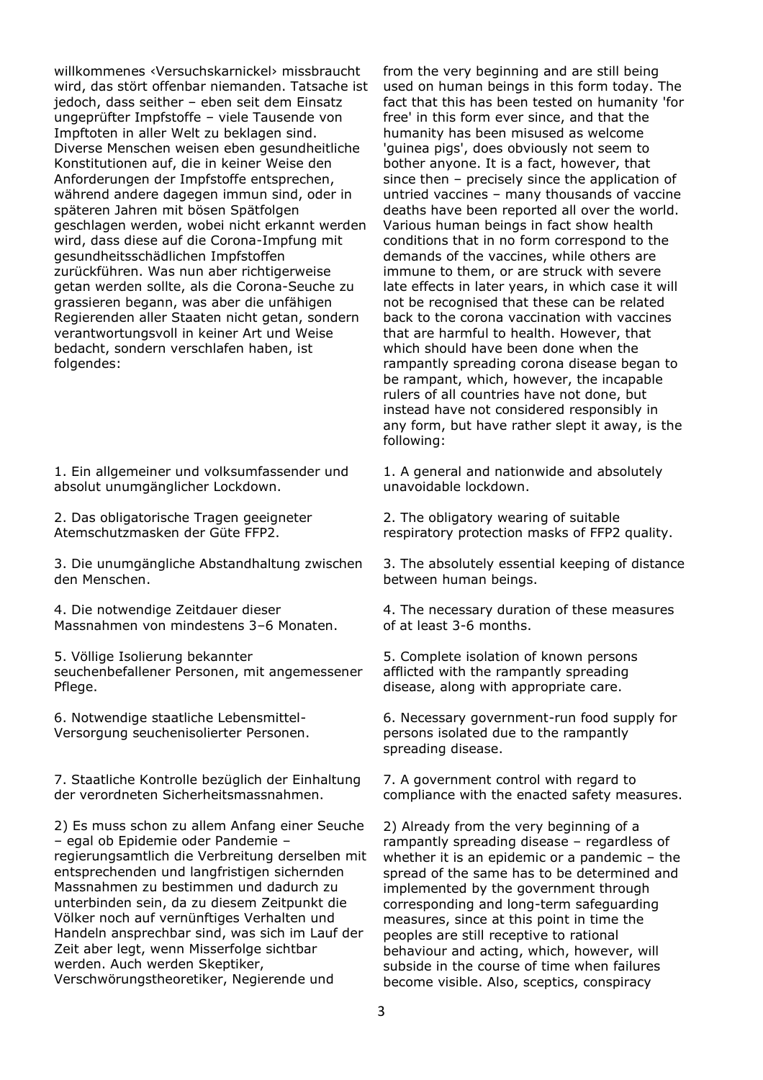willkommenes ‹Versuchskarnickel› missbraucht wird, das stört offenbar niemanden. Tatsache ist jedoch, dass seither – eben seit dem Einsatz ungeprüfter Impfstoffe – viele Tausende von Impftoten in aller Welt zu beklagen sind. Diverse Menschen weisen eben gesundheitliche Konstitutionen auf, die in keiner Weise den Anforderungen der Impfstoffe entsprechen, während andere dagegen immun sind, oder in späteren Jahren mit bösen Spätfolgen geschlagen werden, wobei nicht erkannt werden wird, dass diese auf die Corona-Impfung mit gesundheitsschädlichen Impfstoffen zurückführen. Was nun aber richtigerweise getan werden sollte, als die Corona-Seuche zu grassieren begann, was aber die unfähigen Regierenden aller Staaten nicht getan, sondern verantwortungsvoll in keiner Art und Weise bedacht, sondern verschlafen haben, ist folgendes:

1. Ein allgemeiner und volksumfassender und absolut unumgänglicher Lockdown.

2. Das obligatorische Tragen geeigneter Atemschutzmasken der Güte FFP2.

3. Die unumgängliche Abstandhaltung zwischen den Menschen.

4. Die notwendige Zeitdauer dieser Massnahmen von mindestens 3–6 Monaten.

5. Völlige Isolierung bekannter seuchenbefallener Personen, mit angemessener Pflege.

6. Notwendige staatliche Lebensmittel-Versorgung seuchenisolierter Personen.

7. Staatliche Kontrolle bezüglich der Einhaltung der verordneten Sicherheitsmassnahmen.

2) Es muss schon zu allem Anfang einer Seuche – egal ob Epidemie oder Pandemie – regierungsamtlich die Verbreitung derselben mit entsprechenden und langfristigen sichernden Massnahmen zu bestimmen und dadurch zu unterbinden sein, da zu diesem Zeitpunkt die Völker noch auf vernünftiges Verhalten und Handeln ansprechbar sind, was sich im Lauf der Zeit aber legt, wenn Misserfolge sichtbar werden. Auch werden Skeptiker, Verschwörungstheoretiker, Negierende und

from the very beginning and are still being used on human beings in this form today. The fact that this has been tested on humanity 'for free' in this form ever since, and that the humanity has been misused as welcome 'guinea pigs', does obviously not seem to bother anyone. It is a fact, however, that since then – precisely since the application of untried vaccines – many thousands of vaccine deaths have been reported all over the world. Various human beings in fact show health conditions that in no form correspond to the demands of the vaccines, while others are immune to them, or are struck with severe late effects in later years, in which case it will not be recognised that these can be related back to the corona vaccination with vaccines that are harmful to health. However, that which should have been done when the rampantly spreading corona disease began to be rampant, which, however, the incapable rulers of all countries have not done, but instead have not considered responsibly in any form, but have rather slept it away, is the following:

1. A general and nationwide and absolutely unavoidable lockdown.

2. The obligatory wearing of suitable respiratory protection masks of FFP2 quality.

3. The absolutely essential keeping of distance between human beings.

4. The necessary duration of these measures of at least 3-6 months.

5. Complete isolation of known persons afflicted with the rampantly spreading disease, along with appropriate care.

6. Necessary government-run food supply for persons isolated due to the rampantly spreading disease.

7. A government control with regard to compliance with the enacted safety measures.

2) Already from the very beginning of a rampantly spreading disease – regardless of whether it is an epidemic or a pandemic – the spread of the same has to be determined and implemented by the government through corresponding and long-term safeguarding measures, since at this point in time the peoples are still receptive to rational behaviour and acting, which, however, will subside in the course of time when failures become visible. Also, sceptics, conspiracy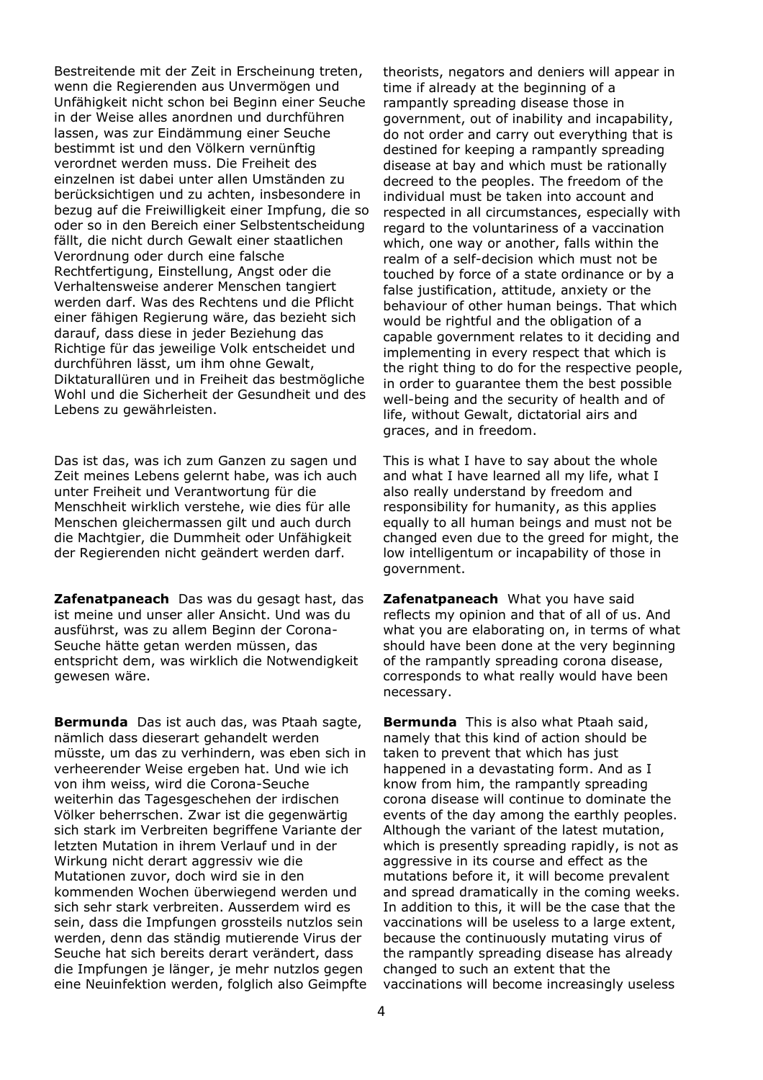Bestreitende mit der Zeit in Erscheinung treten, wenn die Regierenden aus Unvermögen und Unfähigkeit nicht schon bei Beginn einer Seuche in der Weise alles anordnen und durchführen lassen, was zur Eindämmung einer Seuche bestimmt ist und den Völkern vernünftig verordnet werden muss. Die Freiheit des einzelnen ist dabei unter allen Umständen zu berücksichtigen und zu achten, insbesondere in bezug auf die Freiwilligkeit einer Impfung, die so oder so in den Bereich einer Selbstentscheidung fällt, die nicht durch Gewalt einer staatlichen Verordnung oder durch eine falsche Rechtfertigung, Einstellung, Angst oder die Verhaltensweise anderer Menschen tangiert werden darf. Was des Rechtens und die Pflicht einer fähigen Regierung wäre, das bezieht sich darauf, dass diese in jeder Beziehung das Richtige für das jeweilige Volk entscheidet und durchführen lässt, um ihm ohne Gewalt, Diktaturallüren und in Freiheit das bestmögliche Wohl und die Sicherheit der Gesundheit und des Lebens zu gewährleisten.

Das ist das, was ich zum Ganzen zu sagen und Zeit meines Lebens gelernt habe, was ich auch unter Freiheit und Verantwortung für die Menschheit wirklich verstehe, wie dies für alle Menschen gleichermassen gilt und auch durch die Machtgier, die Dummheit oder Unfähigkeit der Regierenden nicht geändert werden darf.

**Zafenatpaneach** Das was du gesagt hast, das ist meine und unser aller Ansicht. Und was du ausführst, was zu allem Beginn der Corona-Seuche hätte getan werden müssen, das entspricht dem, was wirklich die Notwendigkeit gewesen wäre.

**Bermunda** Das ist auch das, was Ptaah sagte, nämlich dass dieserart gehandelt werden müsste, um das zu verhindern, was eben sich in verheerender Weise ergeben hat. Und wie ich von ihm weiss, wird die Corona-Seuche weiterhin das Tagesgeschehen der irdischen Völker beherrschen. Zwar ist die gegenwärtig sich stark im Verbreiten begriffene Variante der letzten Mutation in ihrem Verlauf und in der Wirkung nicht derart aggressiv wie die Mutationen zuvor, doch wird sie in den kommenden Wochen überwiegend werden und sich sehr stark verbreiten. Ausserdem wird es sein, dass die Impfungen grossteils nutzlos sein werden, denn das ständig mutierende Virus der Seuche hat sich bereits derart verändert, dass die Impfungen je länger, je mehr nutzlos gegen eine Neuinfektion werden, folglich also Geimpfte

theorists, negators and deniers will appear in time if already at the beginning of a rampantly spreading disease those in government, out of inability and incapability, do not order and carry out everything that is destined for keeping a rampantly spreading disease at bay and which must be rationally decreed to the peoples. The freedom of the individual must be taken into account and respected in all circumstances, especially with regard to the voluntariness of a vaccination which, one way or another, falls within the realm of a self-decision which must not be touched by force of a state ordinance or by a false justification, attitude, anxiety or the behaviour of other human beings. That which would be rightful and the obligation of a capable government relates to it deciding and implementing in every respect that which is the right thing to do for the respective people, in order to guarantee them the best possible well-being and the security of health and of life, without Gewalt, dictatorial airs and graces, and in freedom.

This is what I have to say about the whole and what I have learned all my life, what I also really understand by freedom and responsibility for humanity, as this applies equally to all human beings and must not be changed even due to the greed for might, the low intelligentum or incapability of those in government.

**Zafenatpaneach** What you have said reflects my opinion and that of all of us. And what you are elaborating on, in terms of what should have been done at the very beginning of the rampantly spreading corona disease, corresponds to what really would have been necessary.

**Bermunda** This is also what Ptaah said, namely that this kind of action should be taken to prevent that which has just happened in a devastating form. And as I know from him, the rampantly spreading corona disease will continue to dominate the events of the day among the earthly peoples. Although the variant of the latest mutation, which is presently spreading rapidly, is not as aggressive in its course and effect as the mutations before it, it will become prevalent and spread dramatically in the coming weeks. In addition to this, it will be the case that the vaccinations will be useless to a large extent, because the continuously mutating virus of the rampantly spreading disease has already changed to such an extent that the vaccinations will become increasingly useless